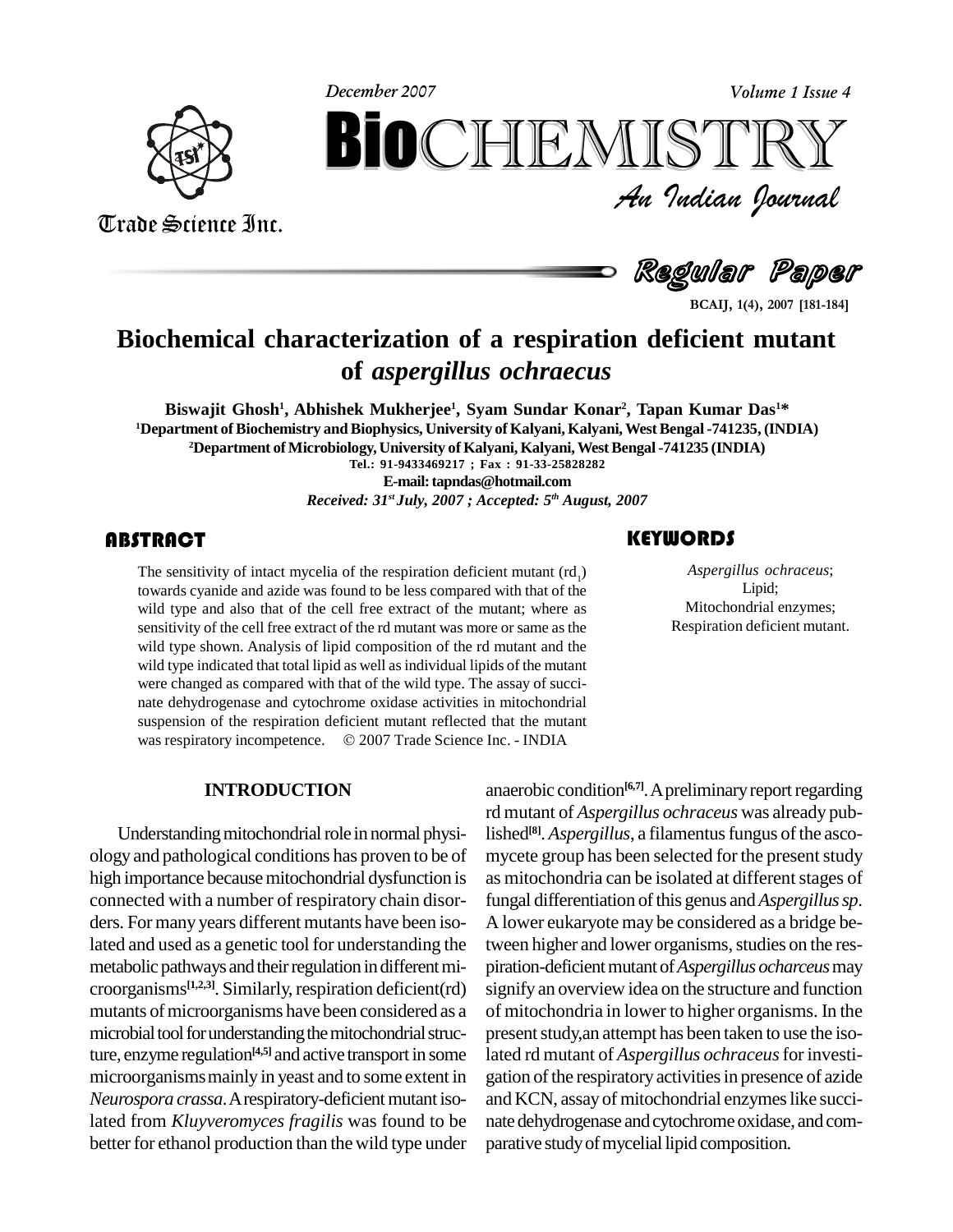

Trade Science Inc. Trade Science Inc. **Volume 1 Issue 4**



**BCAIJ,**Regular Paper

**1(4), <sup>2007</sup> [181-184]**

# **Biochemical characterization of a respiration deficient mutant of** *aspergillus ochraecus*

**Biswajit Ghosh 1 , Abhishek Mukherjee 1 , Syam Sundar Konar 2 , Tapan Kumar Das <sup>1</sup>\* <sup>1</sup>Department ofBiochemistry andBiophysics, University of Kalyani, Kalyani,WestBengal -741235, (INDIA) <sup>2</sup>Department of Microbiology, University of Kalyani, Kalyani,WestBengal-741235 (INDIA)**

**Tel.: 91-9433469217 ; Fax : 91-33-25828282 E-mail:[tapndas@hotmail.com](mailto:tapndas@hotmail.com)** *Received: 31 st July, 2007 ; Accepted: 5 th August, 2007*

## **ABSTRACT**

The sensitivity of intact<br>towards cyanide and azid<br>wild type and also that The sensitivity of intact mycelia of the respiration deficient mutant  $\text{(rd)}_1$ ) towards cyanide and azide was found to be less compared with that of the wild type and also that of the cell free extract of the mutant; where as sensitivity of the cell free extract of the rd mutant was more or same as the wild type shown. Analysis of lipid composition of the rd mutant and the wild type indicated that total lipid as well as individual lipids of the mutant were changed as compared with that of the wild type. The assay of succi nate dehydrogenase and cytochrome oxidase activities in mitochondrial suspension of the respiration deficient mutant reflected that the mutant was respiratory incompetence.  $\circ$  2007 Trade Science Inc. - INDIA

**December 2007**

#### **INTRODUCTION**

Understanding mitochondrial role in normal physiology and pathological conditions has proven to be of high importance because mitochondrial dysfunction is connected with a number of respiratory chain disor ders. For many years different mutants have been isolated and used as a genetic tool for understanding the metabolic pathways and their regulation in different microorganisms<sup>[1,2,3]</sup>. Similarly, respiration deficient(rd) sigr mutants of microorganisms have been considered as a microbial tool for understanding the mitochondrial structure, enzyme regulation **[4,5]** and active transport in some microorganisms mainly in yeast and to some extent in  $Neurospora$  *crassa*. A respiratory-deficient mutant isolated from *Kluyveromyces fragilis* was found to be better for ethanol production than the wild type under

## anaerobic condition<sup>[6,7]</sup>. A preliminary report regarding rd mutant of *Aspergillus ochraceus* was already published<sup>[8]</sup>. *Aspergillus*, a filamentus fungus of the ascomycete group has been selected for the present study as mitochondria can be isolated at different stages of fungal differentiation of this genus and *Aspergillus sp*. A lower eukaryote may be considered as a bridge between higher and lower organisms, studies on the respiration-deficient mutant of *Aspergillus ocharceus* may signify an overview idea on the structure and function of mitochondria in lower to higher organisms. In the present study, an attempt has been taken to use the isolated rd mutant of *Aspergillus ochraceus*for investi gation of the respiratory activities in presence of azide and KCN, assay of mitochondrial enzymes like succinate dehydrogenase and cytochrome oxidase, and comparative study of mycelial lipid composition.

**KEYWORDS** 

Aspergillus ochra<br>Lipid;<br>Mitochondrial enz *Aspergillus ochraceus*; Lipid; Mitochondrial enzymes; Respiration deficient mutant.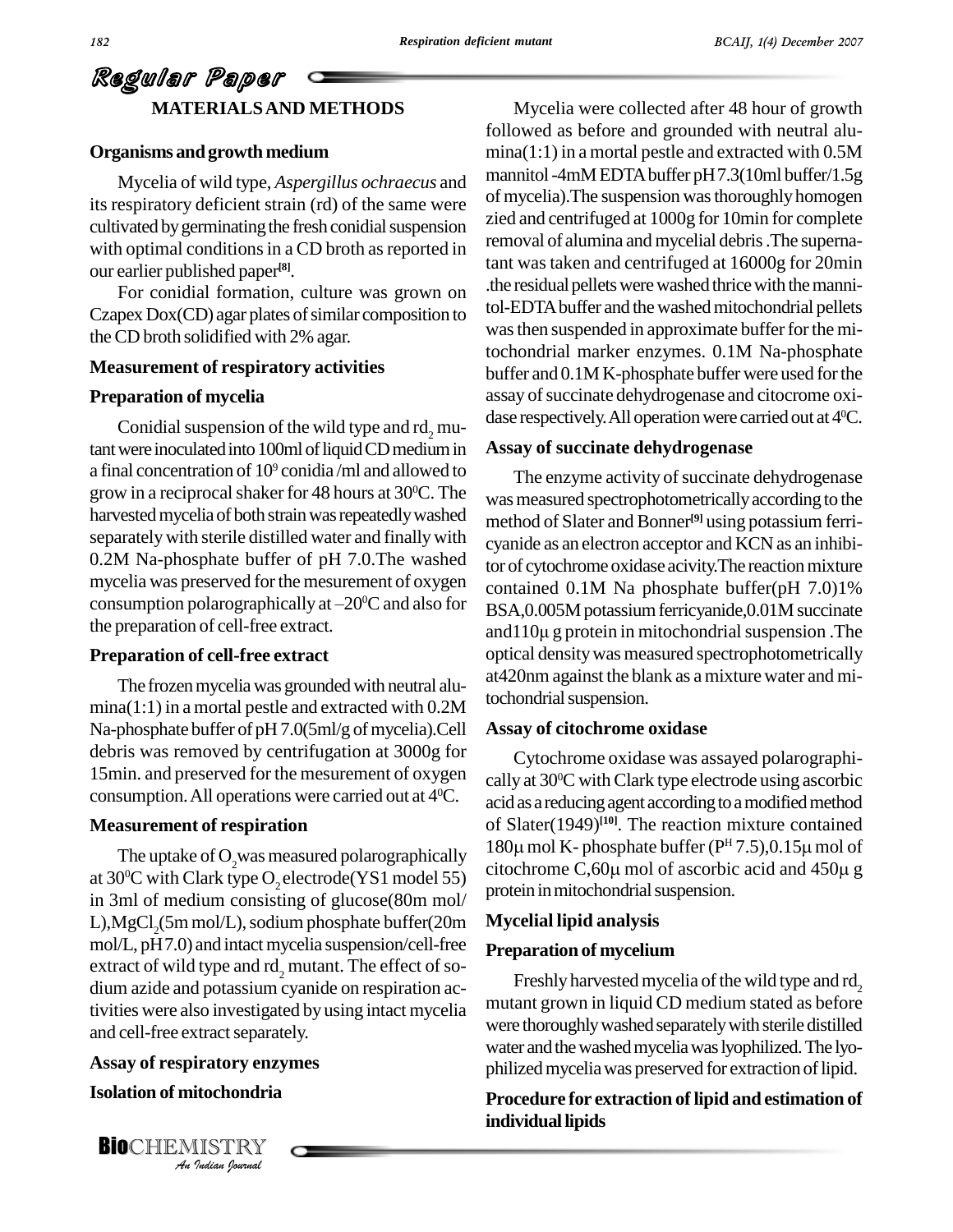# Regular Paper **MATERIALSAND METHODS**

## **Organisms andgrowth medium**

Mycelia of wild type, *Aspergillus ochraecus* and its respiratory deficient strain (rd) of the same were cultivated by germinating the fresh conidial suspension with optimal conditions in a CD broth as reported in our earlier published paper **[8]**.

For conidial formation, culture was grown on Czapex Dox(CD) agar plates of similar composition to theCD broth solidified with 2% agar.

## **Measurement of respiratory activities**

#### **Preparation of mycelia**

Conidial suspension of the wild type and  $rd_2$  mutant were inoculated into 100ml of liquid CD medium in a final concentration of  $10^9$  conidia/ml and allowed to  $_{\text{Th}}$ grow in a reciprocal shaker for 48 hours at 30<sup>o</sup>C. The  $\frac{1}{2}$  was m harvested mycelia of both strain was repeatedly washed separately with sterile distilled water and finally with 0.2M Na-phosphate buffer of pH 7.0.The washed<br>mycelia was preserved for the mesurement of oxygen<br>consumption polarographically at  $-20^{\circ}$ C and also for<br>RSA 0 mycelia was preserved forthe mesurement of oxygen consumption polarographically at  $-20^{\circ}$ C and also for the preparation of cell-free extract.

## **Preparation of cell-free extract**

The frozen mycelia was grounded with neutral alumina(1:1) in a mortal pestle and extracted with 0.2M Na-phosphate buffer of pH 7.0(5ml/g of mycelia).Cell debris was removed by centrifugation at 3000g for 15min. and preserved for the mesurement of oxygen consumption. All operations were carried out at  $4^{\circ}$ C.  $\qquad$ <sub>aci</sub>

#### **Measurement of respiration**

and cell-free extract separately. at 30<sup>o</sup>C with Clark type O<sub>2</sub> electrode (YS1 model 55) rod in 3ml of medium consisting of glucose(80m mol/ L), MgCl<sub>2</sub>(5m mol/L), sodium phosphate buffer(20m  $mol/L$ ,  $pH7.0$ ) and intact mycelia suspension/cell-free extract of wild type and  $\text{rd}_2$  mutant. The effect of so-<br>dium azide and potassium cyanide on respiration activities were also investigated by using intact mycelia

#### **Assay of respiratory enzymes**

#### **Isolation of mitochondria**

*I*ratory enzy<br>*Itochondria*<br>IISTRY<br>*Indian Iournal* **BIO**CHEMISTRY

Mycelia were collected after 48 hour of growth followed as before and grounded with neutral alu mina(1:1) in a mortal pestle and extracted with 0.5M mannitol-4mMEDTAbuffer pH7.3(10ml buffer/1.5g of mycelia). The suspension was thoroughly homogen zied and centrifuged at 1000g for 10min for complete removal of alumina and mycelial debris.The supernatant wastaken and centrifuged at 16000g for 20min .the residual pellets were washed thrice with the mannitol-EDTA buffer and the washed mitochondrial pellets was then suspended in approximate buffer for the mitochondrial marker enzymes. 0.1M Na-phosphate buffer and  $0.1M$  K-phosphate buffer were used for the assay of succinate dehydrogenase and citocrome oxidase respectively. All operation were carried out at  $4^{\circ}\textrm{C}$ .

## **Assay of succinate dehydrogenase**

The enzyme activity of succinate dehydrogenase was measured spectrophotometrically according to the method of Slater and Bonner **[9]** using potassium ferri cyanide as an electron acceptor and KCN as an inhibitor of cytochrome oxidase acivity. The reaction mixture contained 0.1M Na phosphate buffer(pH 7.0)1% BSA,0.005M potassium ferricyanide,0.01M succinate contained 0.1M Na phosphate buffer(pH 7.0)1%<br>BSA,0.005M potassium ferricyanide,0.01M succinate<br>and110µ g protein in mitochondrial suspension .The optical densitywas measured spectrophotometrically at420nm against the blank as a mixture water and mitochondrial suspension.

## **Assay of citochrome oxidase**

The uptake of O<sub>2</sub>was measured polarographically<br>citochrome C,60 $\mu$  mol of ascorbic acid and 450 $\mu$  g Cytochrome oxidase was assayed polarographi cally at 30 <sup>0</sup>C withClark type electrode using ascorbic acid as a reducing agent according to a modified method of Slater(1949) **[10]**. The reaction mixture contained acid as a reducing agent according to a modified method<br>of Slater(1949)<sup>[10]</sup>. The reaction mixture contained<br>180μ mol K- phosphate buffer (P<sup>H</sup> 7.5),0.15μ mol of of Slater(1949)<sup>[10]</sup>. The reaction mixture contained<br>180 $\mu$  mol K- phosphate buffer ( $P^H$ 7.5),0.15 $\mu$  mol of<br>citochrome C,60 $\mu$  mol of ascorbic acid and 450 $\mu$  g protein in mitochondrial suspension.

## **Mycelial lipid analysis**

## **Preparation of mycelium**

Freshly harvested mycelia of the wild type and rd<sub>2</sub> mutant grown in liquid CD medium stated as before were thoroughly washed separately with sterile distilled water and the washed mycelia was lyophilized. The lyophilized mycelia was preserved for extraction of lipid.

# **Procedure for extraction of lipid and estimation of individuallipids**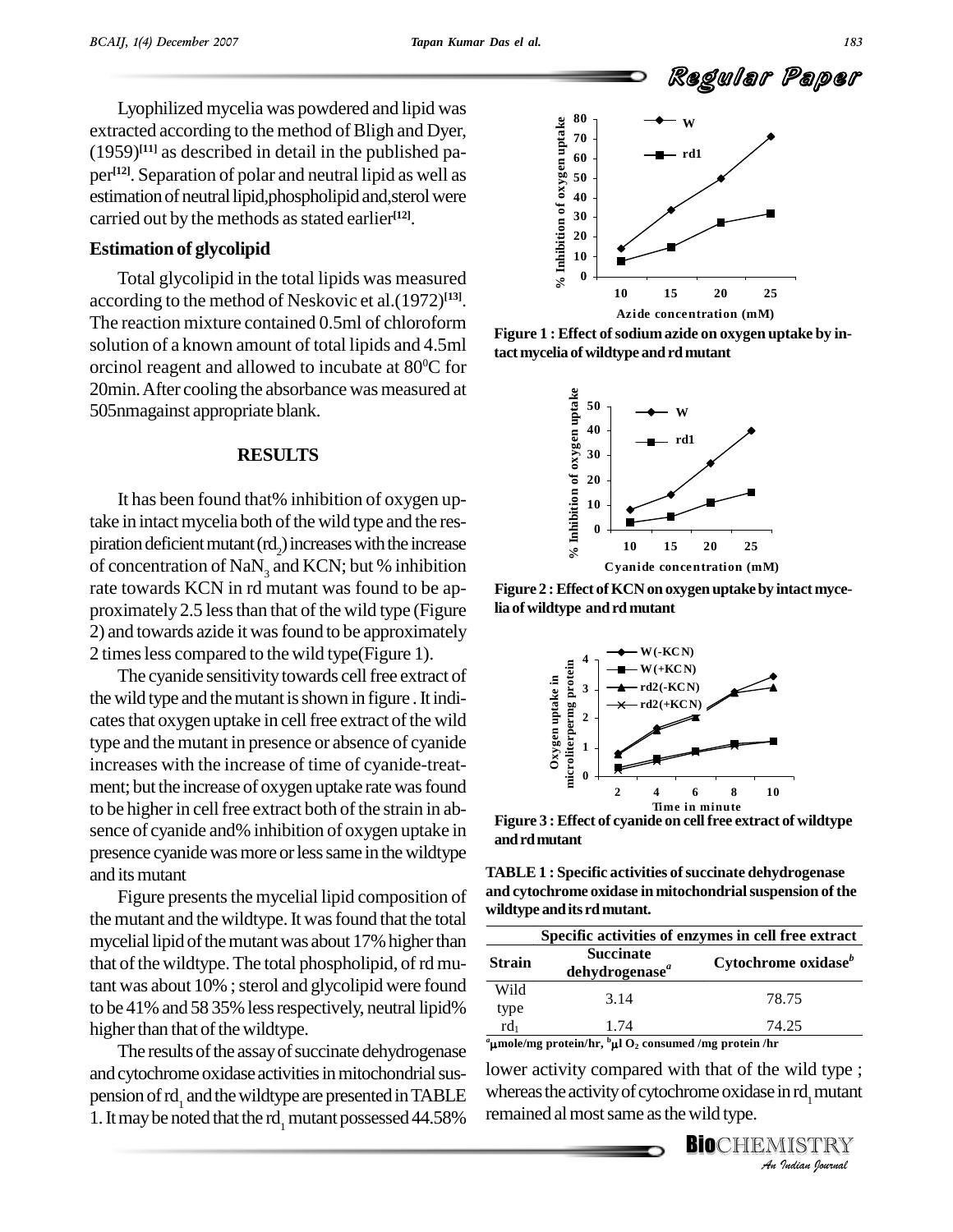Regular Paper

Lyophilized mycelia was powdered and lipid was extracted according to the method of Bligh and Dyer, (1959) **[11]** as described in detail in the published pa per **[12]**. Separation of polar and neutral lipid as well as estimation of neutral lipid,phospholipid and, sterol were carried out by the methods as stated earlier<sup>[12]</sup>.

## **Estimation of glycolipid**

Total glycolipid in the total lipids was measured according to the method of Neskovic et al.(1972) **[13]**. The reaction mixture contained 0.5ml of chloroform solution of a known amount of total lipids and 4.5ml orcinol reagent and allowed to incubate at 80 <sup>0</sup>C for 20min. After cooling the absorbance was measured at 505nmagainst appropriate blank.

#### **RESULTS**

It has been found that% inhibition of oxygen uptake in intact mycelia both of the wild type and the respiration deficient mutant  $\text{(rd)}$  increases with the increase of concentration of NaN<sub>3</sub> and KCN; but % inhibition rate towards KCN in rd mutant was found to be ap proximately 2.5 less than that of the wild type (Figure 2) and towards azide it was found to be approximately 2 timesless compared to the wild type(Figure 1).

The cyanide sensitivity towards cell free extract of the wild type and the mutant is shown in figure . It indicates that oxygen uptake in cell free extract of the wild type and the mutant in presence or absence of cyanide increases with the increase of time of cyanide-treat ment; but the increase of oxygen uptake rate was found to be higher in cell free extract both of the strain in absence of cyanide and% inhibition of oxygen uptake in presence cyanide was more or less same in the wildtype and its mutant

Figure presents the mycelial lipid composition of the mutant and the wildtype. It was found that the total mycelial lipid of the mutant was about 17% higher than that of the wildtype. The total phospholipid, of rd mutant was about 10%; sterol and glycolipid were found to be 41% and 58 35% less respectively, neutral lipid% higher than that of the wildtype.

The results of the assay of succinate dehydrogenase and cytochrome oxidase activities in mitochondrial suspension of rd, and the wildtype are presented in TABLE 1. It may be noted that the  $\text{rd}_1$  mutant possessed 44.58%



Figure 1 : Effect of sodium azide on oxygen uptake by in**tact mycelia ofwildtype and rdmutant**



**Figure 2 :Effect ofKCNon oxygen uptakeby intact mycelia of wildtype and rd mutant**



**Figure 3 :Effect of cyanide on cellfree extract of wildtype** and rd mutant

**TABLE 1 :** Specific activities of succinate dehydrogenase **and cytochrome oxidase in mitochondrialsuspension ofthe wildtype andits rd mutant.**

| <b>Succinate</b>           |                                                                 |
|----------------------------|-----------------------------------------------------------------|
| dehydrogenase <sup>a</sup> | Cytochrome oxidase <sup>b</sup>                                 |
| 3.14                       | 78.75                                                           |
| 1.74                       | 74.25                                                           |
|                            | "µmole/mg protein/hr, $^{\rm b}$ µl O2 consumed /mg protein /hr |

*ISS*<br> *I*<br> *I*<br>
IISTRY<br> *I*<br> *Indian bournal* lower activity compared with that of the wild type ; whereas the activity of cytochrome oxidase in  $\mathrm{rd}_1$  mutant remained al most same as the wild type.